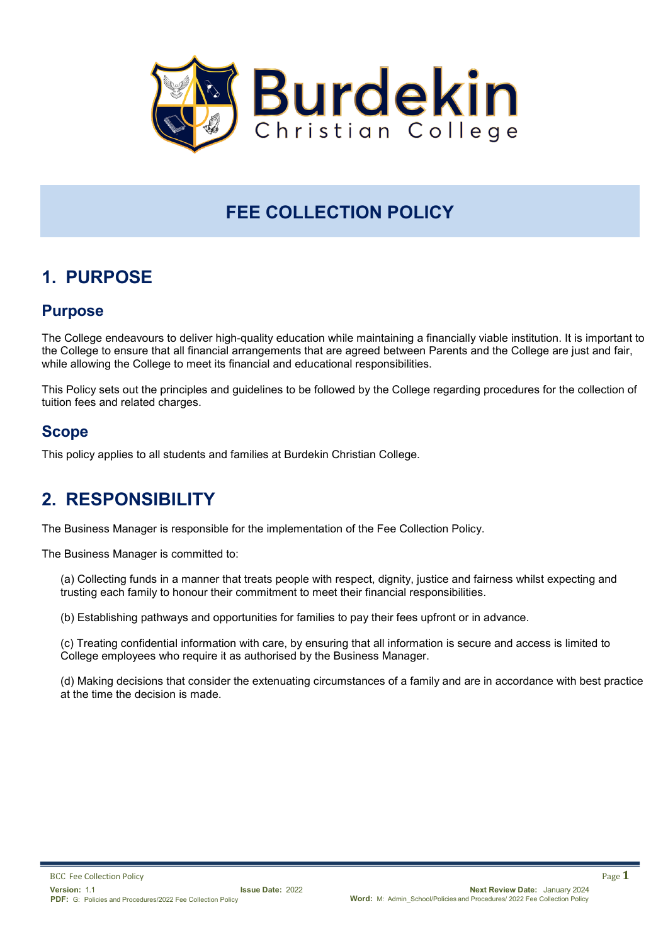

# **FEE COLLECTION POLICY**

# **1. PURPOSE**

### **Purpose**

The College endeavours to deliver high-quality education while maintaining a financially viable institution. It is important to the College to ensure that all financial arrangements that are agreed between Parents and the College are just and fair, while allowing the College to meet its financial and educational responsibilities.

This Policy sets out the principles and guidelines to be followed by the College regarding procedures for the collection of tuition fees and related charges.

### **Scope**

This policy applies to all students and families at Burdekin Christian College.

## **2. RESPONSIBILITY**

The Business Manager is responsible for the implementation of the Fee Collection Policy.

The Business Manager is committed to:

(a) Collecting funds in a manner that treats people with respect, dignity, justice and fairness whilst expecting and trusting each family to honour their commitment to meet their financial responsibilities.

(b) Establishing pathways and opportunities for families to pay their fees upfront or in advance.

(c) Treating confidential information with care, by ensuring that all information is secure and access is limited to College employees who require it as authorised by the Business Manager.

(d) Making decisions that consider the extenuating circumstances of a family and are in accordance with best practice at the time the decision is made.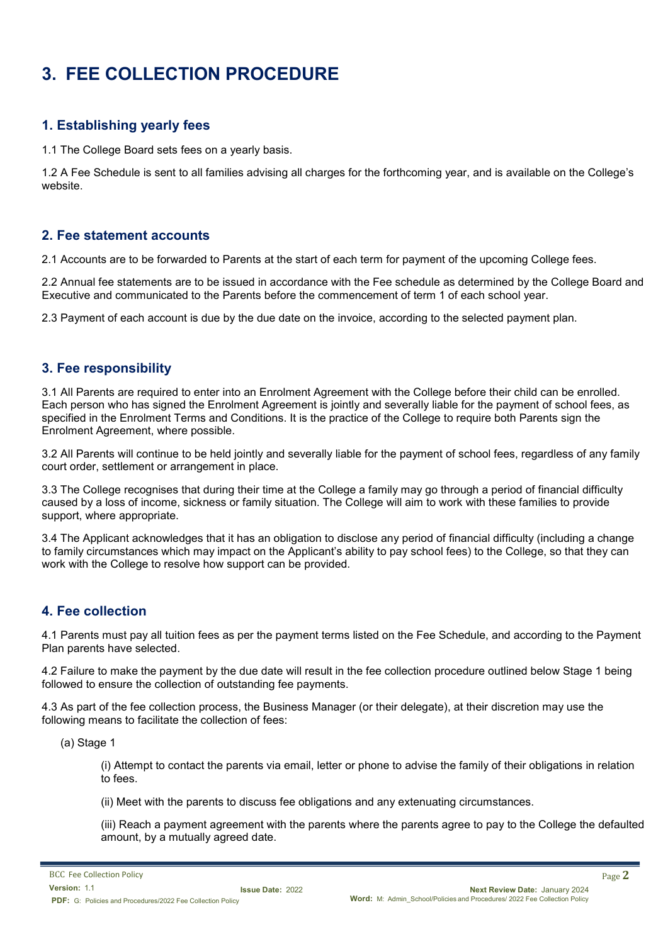# **3. FEE COLLECTION PROCEDURE**

#### **1. Establishing yearly fees**

1.1 The College Board sets fees on a yearly basis.

1.2 A Fee Schedule is sent to all families advising all charges for the forthcoming year, and is available on the College's website.

#### **2. Fee statement accounts**

2.1 Accounts are to be forwarded to Parents at the start of each term for payment of the upcoming College fees.

2.2 Annual fee statements are to be issued in accordance with the Fee schedule as determined by the College Board and Executive and communicated to the Parents before the commencement of term 1 of each school year.

2.3 Payment of each account is due by the due date on the invoice, according to the selected payment plan.

#### **3. Fee responsibility**

3.1 All Parents are required to enter into an Enrolment Agreement with the College before their child can be enrolled. Each person who has signed the Enrolment Agreement is jointly and severally liable for the payment of school fees, as specified in the Enrolment Terms and Conditions. It is the practice of the College to require both Parents sign the Enrolment Agreement, where possible.

3.2 All Parents will continue to be held jointly and severally liable for the payment of school fees, regardless of any family court order, settlement or arrangement in place.

3.3 The College recognises that during their time at the College a family may go through a period of financial difficulty caused by a loss of income, sickness or family situation. The College will aim to work with these families to provide support, where appropriate.

3.4 The Applicant acknowledges that it has an obligation to disclose any period of financial difficulty (including a change to family circumstances which may impact on the Applicant's ability to pay school fees) to the College, so that they can work with the College to resolve how support can be provided.

#### **4. Fee collection**

4.1 Parents must pay all tuition fees as per the payment terms listed on the Fee Schedule, and according to the Payment Plan parents have selected.

4.2 Failure to make the payment by the due date will result in the fee collection procedure outlined below Stage 1 being followed to ensure the collection of outstanding fee payments.

4.3 As part of the fee collection process, the Business Manager (or their delegate), at their discretion may use the following means to facilitate the collection of fees:

(a) Stage 1

(i) Attempt to contact the parents via email, letter or phone to advise the family of their obligations in relation to fees.

(ii) Meet with the parents to discuss fee obligations and any extenuating circumstances.

(iii) Reach a payment agreement with the parents where the parents agree to pay to the College the defaulted amount, by a mutually agreed date.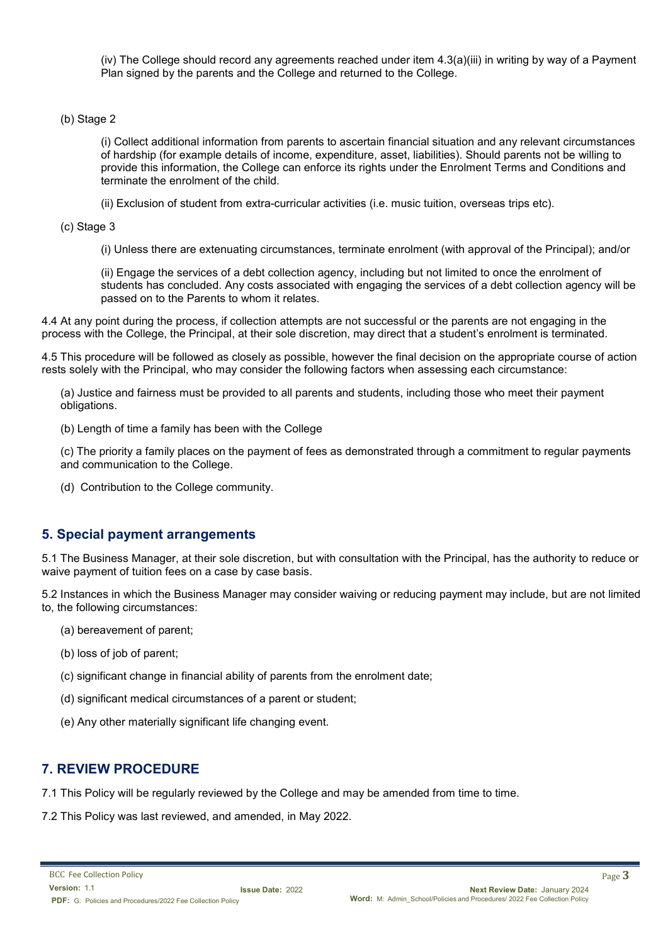(iv) The College should record any agreements reached under item 4.3(a)(iii) in writing by way of a Payment Plan signed by the parents and the College and returned to the College.

#### (b) Stage 2

(i) Collect additional information from parents to ascertain financial situation and any relevant circumstances of hardship (for example details of income, expenditure, asset, liabilities). Should parents not be willing to provide this information, the College can enforce its rights under the Enrolment Terms and Conditions and terminate the enrolment of the child.

(ii) Exclusion of student from extra-curricular activities (i.e. music tuition, overseas trips etc).

(c) Stage 3

(i) Unless there are extenuating circumstances, terminate enrolment (with approval of the Principal); and/or

(ii) Engage the services of a debt collection agency, including but not limited to once the enrolment of students has concluded. Any costs associated with engaging the services of a debt collection agency will be passed on to the Parents to whom it relates.

4.4 At any point during the process, if collection attempts are not successful or the parents are not engaging in the process with the College, the Principal, at their sole discretion, may direct that a student's enrolment is terminated.

4.5 This procedure will be followed as closely as possible, however the final decision on the appropriate course of action rests solely with the Principal, who may consider the following factors when assessing each circumstance:

(a) Justice and fairness must be provided to all parents and students, including those who meet their payment obligations.

(b) Length of time a family has been with the College

(c) The priority a family places on the payment of fees as demonstrated through a commitment to regular payments and communication to the College.

(d) Contribution to the College community.

#### **5. Special payment arrangements**

5.1 The Business Manager, at their sole discretion, but with consultation with the Principal, has the authority to reduce or waive payment of tuition fees on a case by case basis.

5.2 Instances in which the Business Manager may consider waiving or reducing payment may include, but are not limited to, the following circumstances:

- (a) bereavement of parent;
- (b) loss of job of parent;
- (c) significant change in financial ability of parents from the enrolment date;
- (d) significant medical circumstances of a parent or student;
- (e) Any other materially significant life changing event.

#### **7. REVIEW PROCEDURE**

7.1 This Policy will be regularly reviewed by the College and may be amended from time to time.

7.2 This Policy was last reviewed, and amended, in May 2022.